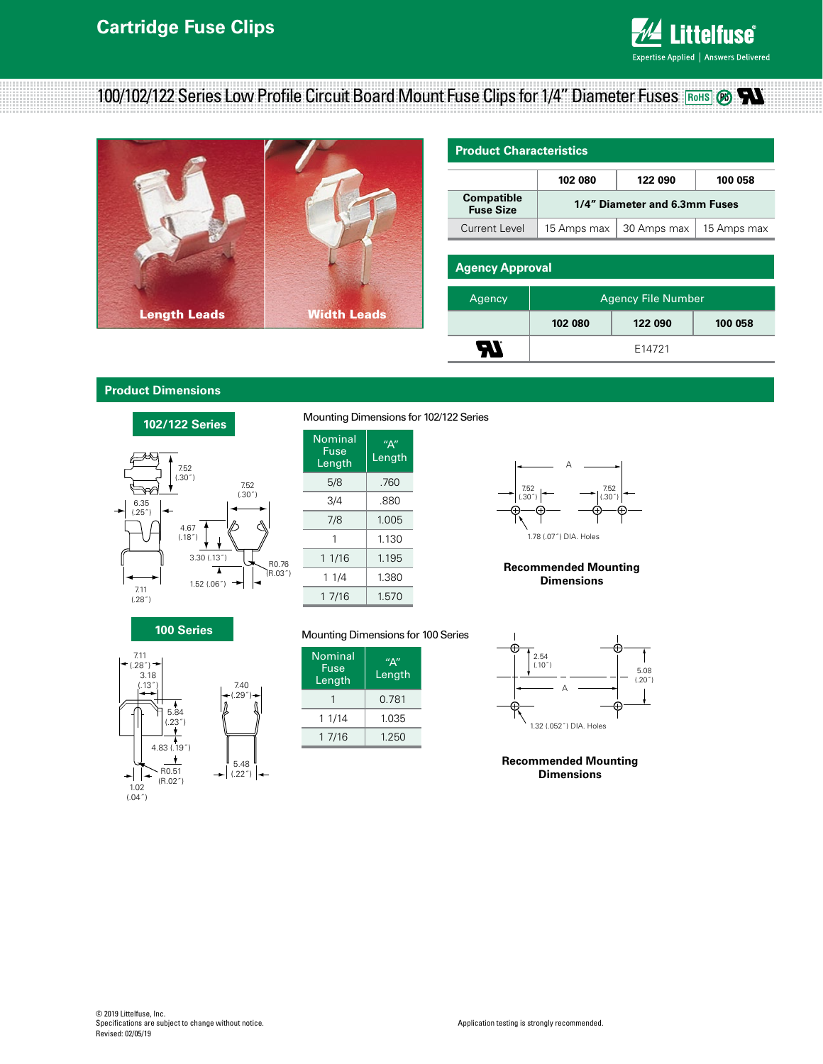

# **100/102/122 Series Low Profile Circuit Board Mount Fuse Clips for 1/4" Diameter Fuses <b>RoHS** ®



| <b>Product Characteristics</b>        |                               |             |             |  |  |  |  |  |
|---------------------------------------|-------------------------------|-------------|-------------|--|--|--|--|--|
|                                       | 102 080                       | 122 090     | 100 058     |  |  |  |  |  |
| <b>Compatible</b><br><b>Fuse Size</b> | 1/4" Diameter and 6.3mm Fuses |             |             |  |  |  |  |  |
| Current Level                         | 15 Amps max                   | 30 Amps max | 15 Amps max |  |  |  |  |  |
|                                       |                               |             |             |  |  |  |  |  |
| <b>Agency Approval</b>                |                               |             |             |  |  |  |  |  |
| Agency                                | <b>Agency File Number</b>     |             |             |  |  |  |  |  |

**102 080 122 090 100 058** E14721

### **Product Dimensions**



Mounting Dimensions for 102/122 Series

| Nominal<br>Fuse<br>Length | $^{\prime\prime}$ A $^{\prime\prime}$<br>Length |  |  |
|---------------------------|-------------------------------------------------|--|--|
| 5/8                       | .760                                            |  |  |
| 3/4                       | .880                                            |  |  |
| 7/8                       | 1.005                                           |  |  |
| 1                         | 1.130                                           |  |  |
| 1 1/16                    | 1.195                                           |  |  |
| 1 1/4                     | 1.380                                           |  |  |
| 1 7/16                    | 1.570                                           |  |  |



**TR** 

#### **Recommended Mounting Dimensions**

#### **100 Series Dimensions**



#### Mounting Dimensions for 100 Series

| <b>Nominal</b><br>Fuse<br>Length | $^{\prime\prime}$ A $^{\prime\prime}$<br>Length |  |
|----------------------------------|-------------------------------------------------|--|
|                                  | 0.781                                           |  |
| 1 1/14                           | 1.035                                           |  |
| 1 7/16                           | 1.250                                           |  |



#### **Recommended Mounting Dimensions**